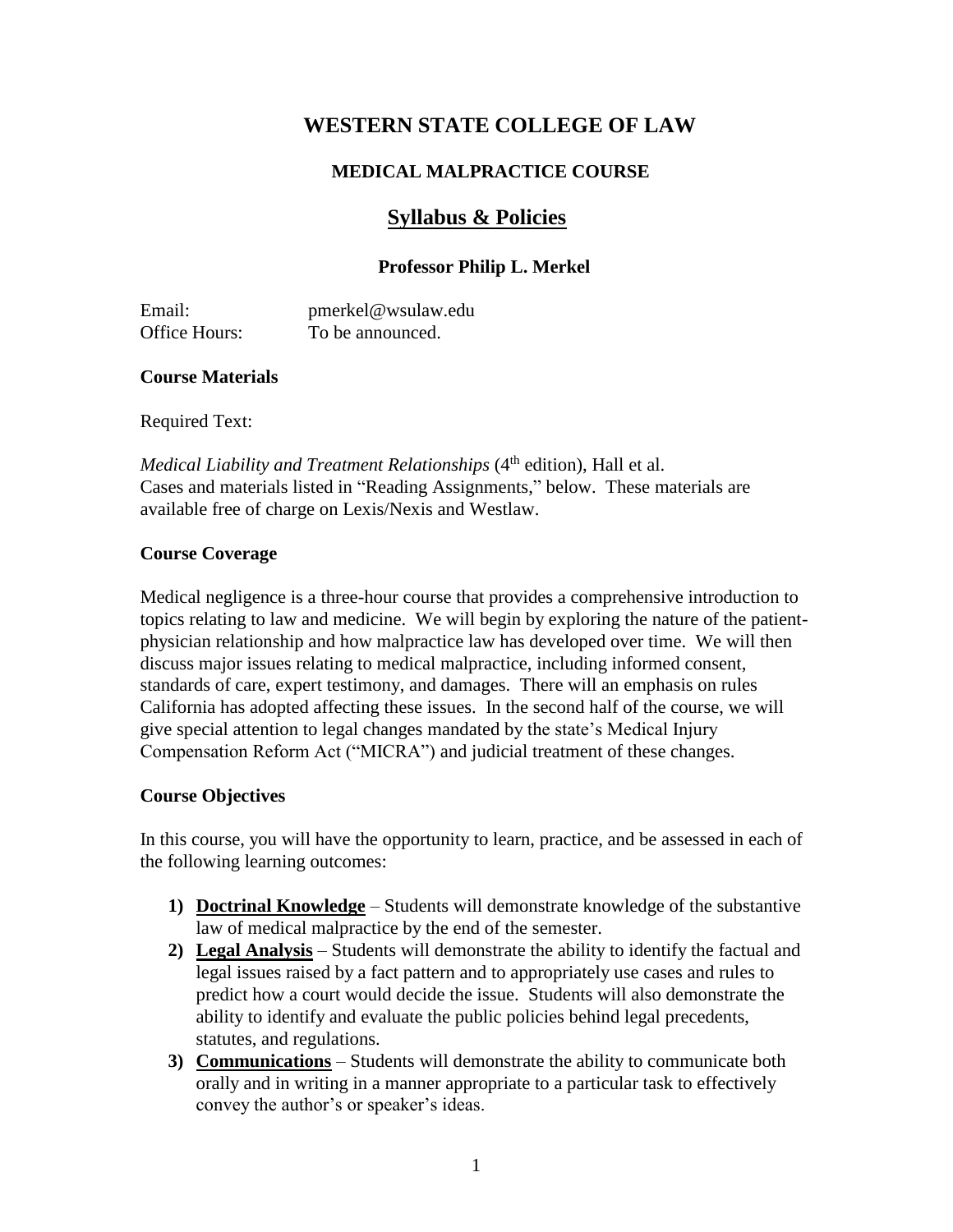# **WESTERN STATE COLLEGE OF LAW**

# **MEDICAL MALPRACTICE COURSE**

# **Syllabus & Policies**

# **Professor Philip L. Merkel**

Email: pmerkel@wsulaw.edu Office Hours: To be announced.

#### **Course Materials**

Required Text:

*Medical Liability and Treatment Relationships* (4<sup>th</sup> edition), Hall et al. Cases and materials listed in "Reading Assignments," below. These materials are available free of charge on Lexis/Nexis and Westlaw.

#### **Course Coverage**

Medical negligence is a three-hour course that provides a comprehensive introduction to topics relating to law and medicine. We will begin by exploring the nature of the patientphysician relationship and how malpractice law has developed over time. We will then discuss major issues relating to medical malpractice, including informed consent, standards of care, expert testimony, and damages. There will an emphasis on rules California has adopted affecting these issues. In the second half of the course, we will give special attention to legal changes mandated by the state's Medical Injury Compensation Reform Act ("MICRA") and judicial treatment of these changes.

# **Course Objectives**

In this course, you will have the opportunity to learn, practice, and be assessed in each of the following learning outcomes:

- **1) Doctrinal Knowledge** Students will demonstrate knowledge of the substantive law of medical malpractice by the end of the semester.
- **2) Legal Analysis** Students will demonstrate the ability to identify the factual and legal issues raised by a fact pattern and to appropriately use cases and rules to predict how a court would decide the issue. Students will also demonstrate the ability to identify and evaluate the public policies behind legal precedents, statutes, and regulations.
- **3) Communications** Students will demonstrate the ability to communicate both orally and in writing in a manner appropriate to a particular task to effectively convey the author's or speaker's ideas.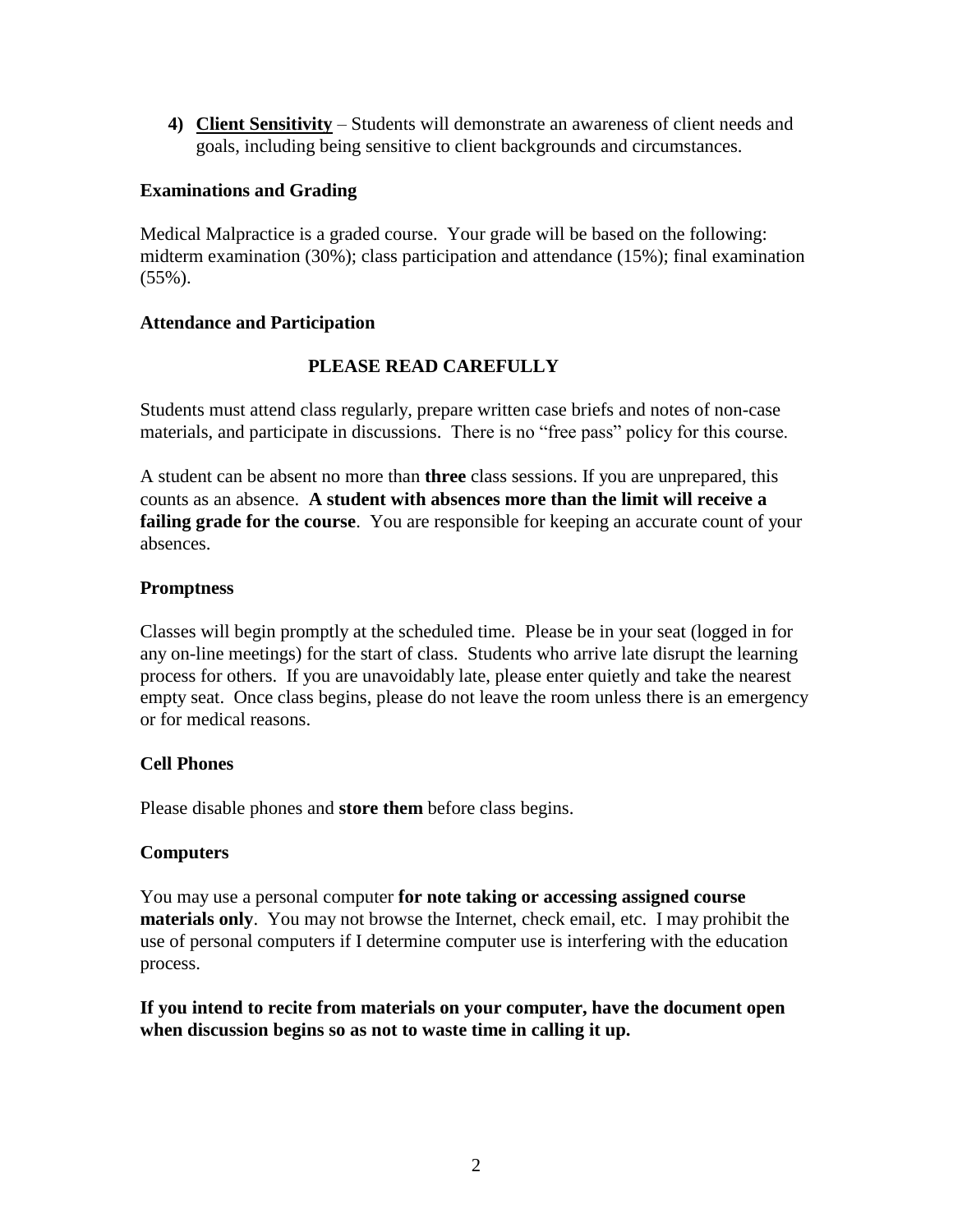**4) Client Sensitivity** – Students will demonstrate an awareness of client needs and goals, including being sensitive to client backgrounds and circumstances.

#### **Examinations and Grading**

Medical Malpractice is a graded course. Your grade will be based on the following: midterm examination (30%); class participation and attendance (15%); final examination (55%).

#### **Attendance and Participation**

# **PLEASE READ CAREFULLY**

Students must attend class regularly, prepare written case briefs and notes of non-case materials, and participate in discussions. There is no "free pass" policy for this course.

A student can be absent no more than **three** class sessions. If you are unprepared, this counts as an absence. **A student with absences more than the limit will receive a failing grade for the course.** You are responsible for keeping an accurate count of your absences.

#### **Promptness**

Classes will begin promptly at the scheduled time. Please be in your seat (logged in for any on-line meetings) for the start of class. Students who arrive late disrupt the learning process for others. If you are unavoidably late, please enter quietly and take the nearest empty seat. Once class begins, please do not leave the room unless there is an emergency or for medical reasons.

# **Cell Phones**

Please disable phones and **store them** before class begins.

# **Computers**

You may use a personal computer **for note taking or accessing assigned course materials only**. You may not browse the Internet, check email, etc. I may prohibit the use of personal computers if I determine computer use is interfering with the education process.

**If you intend to recite from materials on your computer, have the document open when discussion begins so as not to waste time in calling it up.**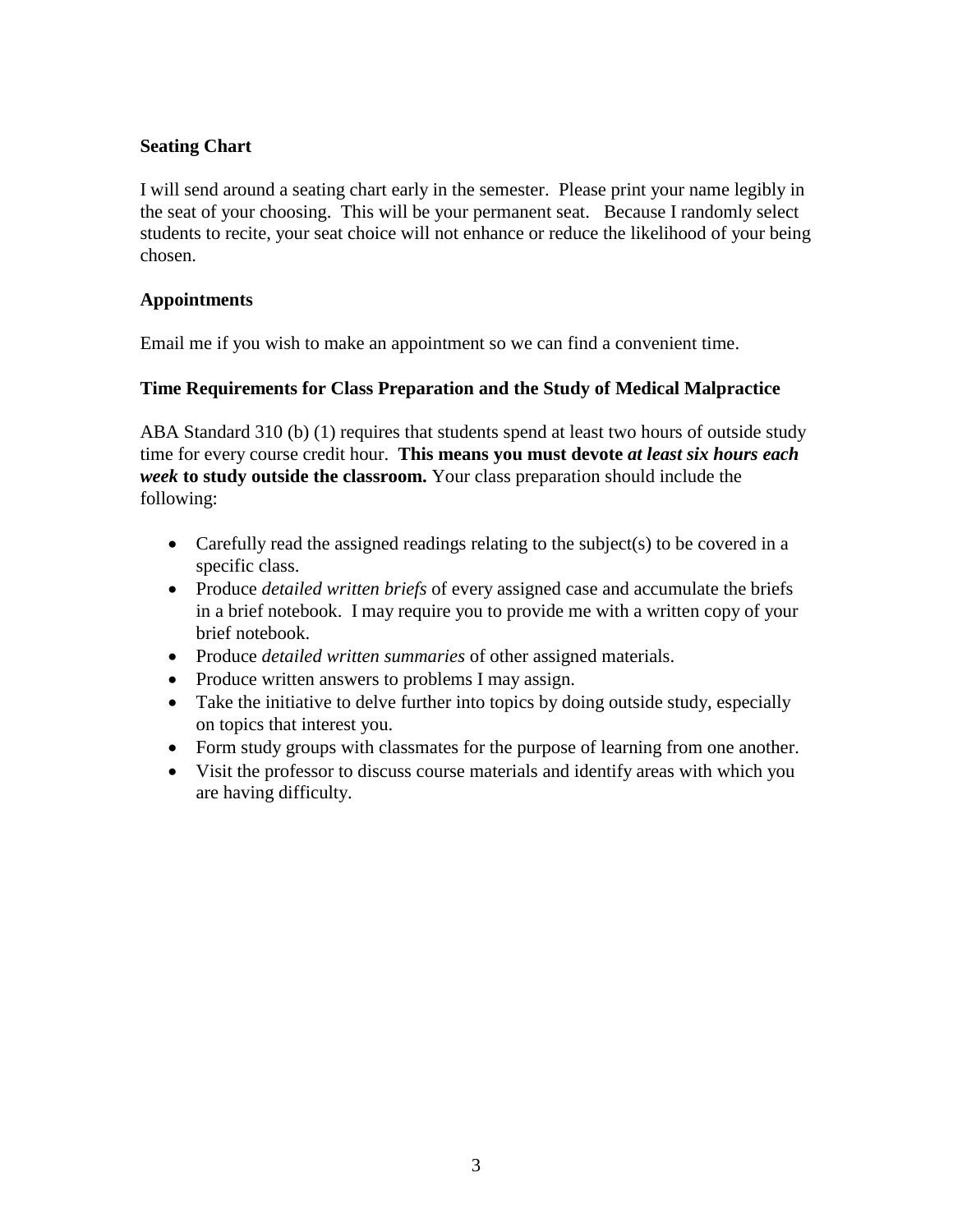# **Seating Chart**

I will send around a seating chart early in the semester. Please print your name legibly in the seat of your choosing. This will be your permanent seat. Because I randomly select students to recite, your seat choice will not enhance or reduce the likelihood of your being chosen.

# **Appointments**

Email me if you wish to make an appointment so we can find a convenient time.

# **Time Requirements for Class Preparation and the Study of Medical Malpractice**

ABA Standard 310 (b) (1) requires that students spend at least two hours of outside study time for every course credit hour. **This means you must devote** *at least six hours each week* **to study outside the classroom.** Your class preparation should include the following:

- Carefully read the assigned readings relating to the subject(s) to be covered in a specific class.
- Produce *detailed written briefs* of every assigned case and accumulate the briefs in a brief notebook. I may require you to provide me with a written copy of your brief notebook.
- Produce *detailed written summaries* of other assigned materials.
- Produce written answers to problems I may assign.
- Take the initiative to delve further into topics by doing outside study, especially on topics that interest you.
- Form study groups with classmates for the purpose of learning from one another.
- Visit the professor to discuss course materials and identify areas with which you are having difficulty.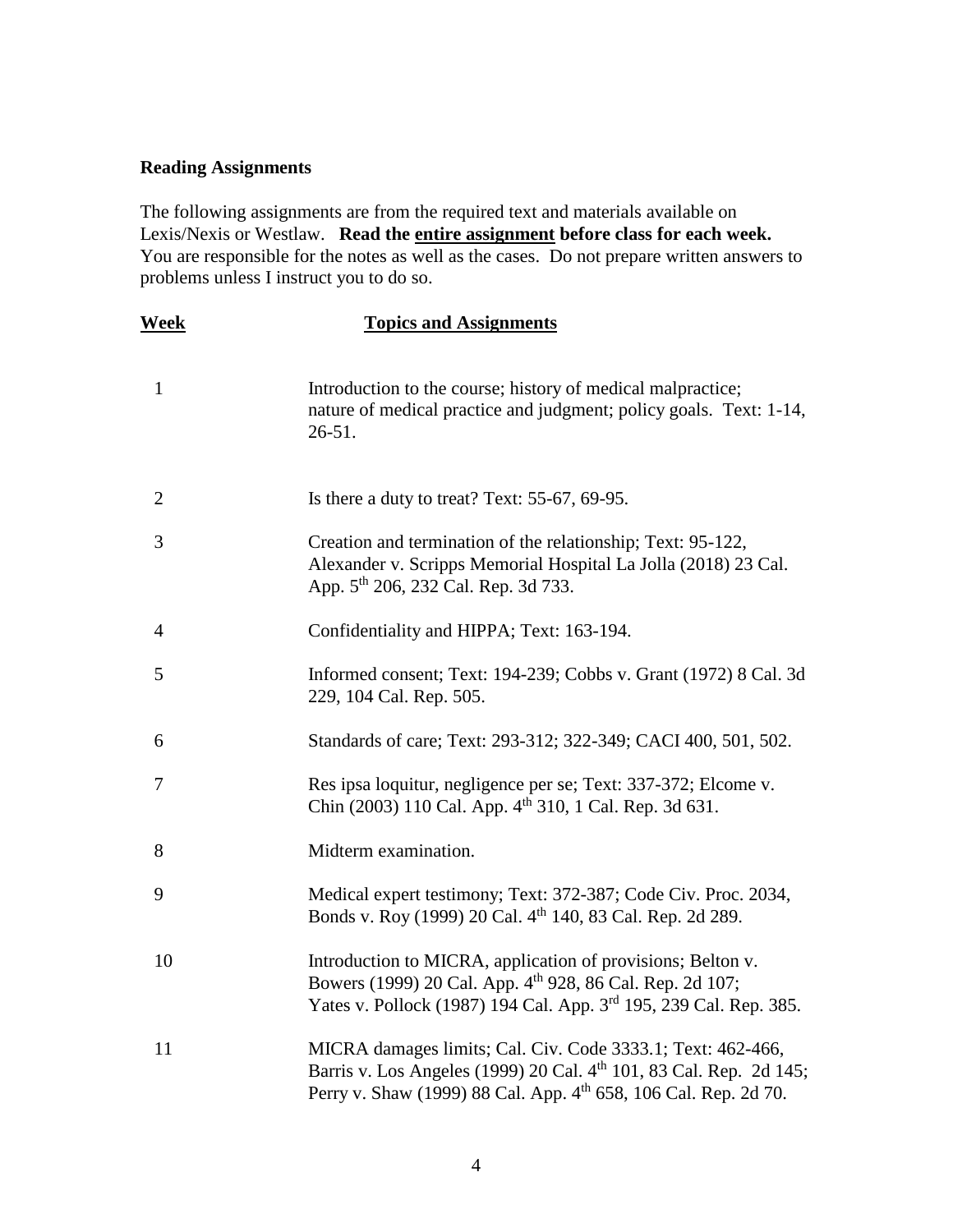#### **Reading Assignments**

The following assignments are from the required text and materials available on Lexis/Nexis or Westlaw. **Read the entire assignment before class for each week.**  You are responsible for the notes as well as the cases. Do not prepare written answers to problems unless I instruct you to do so.

| <b>Week</b>    | <b>Topics and Assignments</b>                                                                                                                                                                                    |
|----------------|------------------------------------------------------------------------------------------------------------------------------------------------------------------------------------------------------------------|
| $\mathbf{1}$   | Introduction to the course; history of medical malpractice;<br>nature of medical practice and judgment; policy goals. Text: 1-14,<br>$26 - 51$ .                                                                 |
| $\overline{2}$ | Is there a duty to treat? Text: $55-67$ , $69-95$ .                                                                                                                                                              |
| 3              | Creation and termination of the relationship; Text: 95-122,<br>Alexander v. Scripps Memorial Hospital La Jolla (2018) 23 Cal.<br>App. 5 <sup>th</sup> 206, 232 Cal. Rep. 3d 733.                                 |
| $\overline{4}$ | Confidentiality and HIPPA; Text: 163-194.                                                                                                                                                                        |
| 5              | Informed consent; Text: 194-239; Cobbs v. Grant (1972) 8 Cal. 3d<br>229, 104 Cal. Rep. 505.                                                                                                                      |
| 6              | Standards of care; Text: 293-312; 322-349; CACI 400, 501, 502.                                                                                                                                                   |
| 7              | Res ipsa loquitur, negligence per se; Text: 337-372; Elcome v.<br>Chin (2003) 110 Cal. App. 4 <sup>th</sup> 310, 1 Cal. Rep. 3d 631.                                                                             |
| 8              | Midterm examination.                                                                                                                                                                                             |
| 9              | Medical expert testimony; Text: 372-387; Code Civ. Proc. 2034,<br>Bonds v. Roy (1999) 20 Cal. 4 <sup>th</sup> 140, 83 Cal. Rep. 2d 289.                                                                          |
| 10             | Introduction to MICRA, application of provisions; Belton v.<br>Bowers (1999) 20 Cal. App. 4 <sup>th</sup> 928, 86 Cal. Rep. 2d 107;<br>Yates v. Pollock (1987) 194 Cal. App. 3rd 195, 239 Cal. Rep. 385.         |
| 11             | MICRA damages limits; Cal. Civ. Code 3333.1; Text: 462-466,<br>Barris v. Los Angeles (1999) 20 Cal. 4 <sup>th</sup> 101, 83 Cal. Rep. 2d 145;<br>Perry v. Shaw (1999) 88 Cal. App. 4th 658, 106 Cal. Rep. 2d 70. |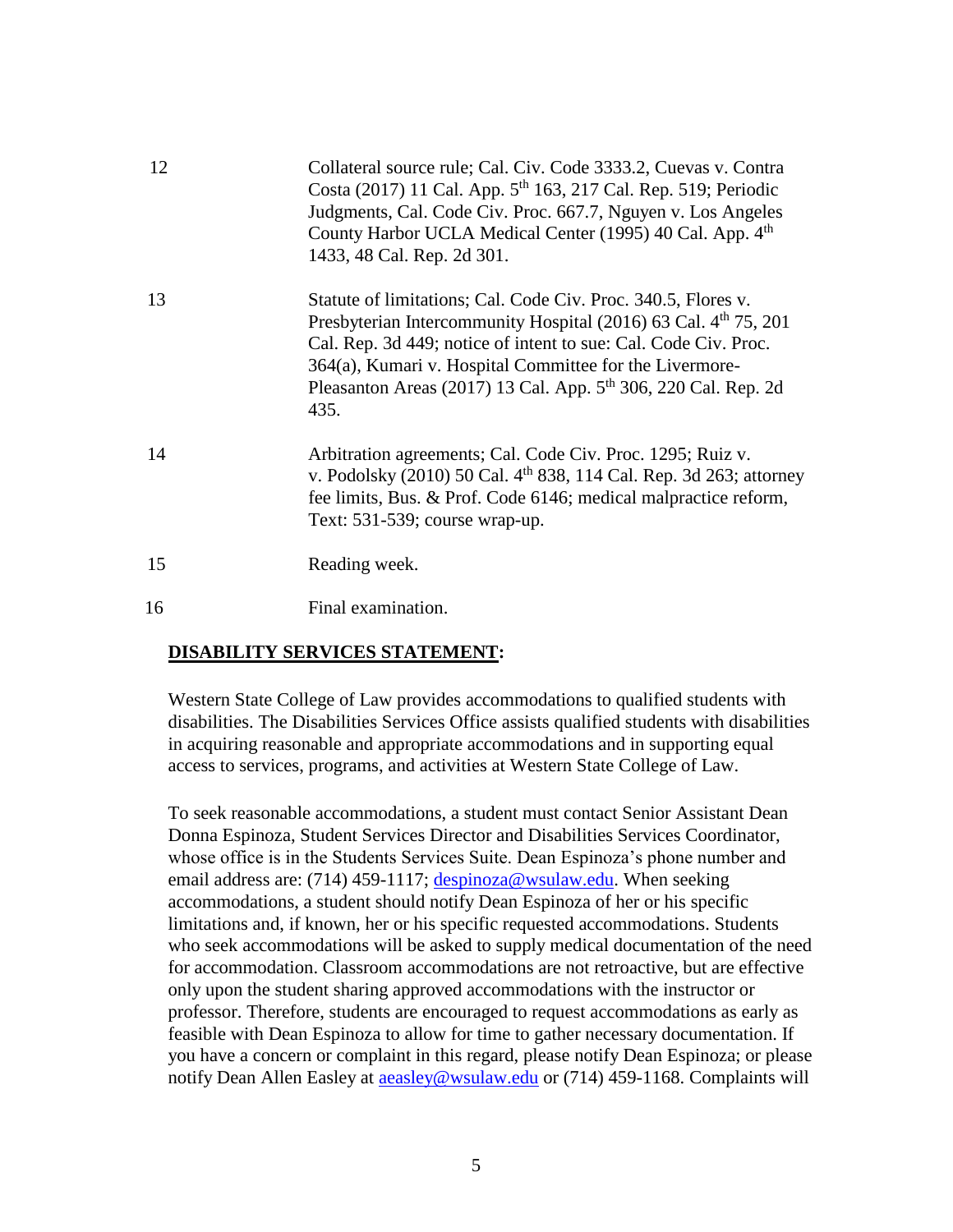| 12 | Collateral source rule; Cal. Civ. Code 3333.2, Cuevas v. Contra<br>Costa (2017) 11 Cal. App. 5 <sup>th</sup> 163, 217 Cal. Rep. 519; Periodic<br>Judgments, Cal. Code Civ. Proc. 667.7, Nguyen v. Los Angeles<br>County Harbor UCLA Medical Center (1995) 40 Cal. App. 4 <sup>th</sup><br>1433, 48 Cal. Rep. 2d 301.                                             |
|----|------------------------------------------------------------------------------------------------------------------------------------------------------------------------------------------------------------------------------------------------------------------------------------------------------------------------------------------------------------------|
| 13 | Statute of limitations; Cal. Code Civ. Proc. 340.5, Flores v.<br>Presbyterian Intercommunity Hospital (2016) 63 Cal. 4 <sup>th</sup> 75, 201<br>Cal. Rep. 3d 449; notice of intent to sue: Cal. Code Civ. Proc.<br>364(a), Kumari v. Hospital Committee for the Livermore-<br>Pleasanton Areas (2017) 13 Cal. App. 5 <sup>th</sup> 306, 220 Cal. Rep. 2d<br>435. |
| 14 | Arbitration agreements; Cal. Code Civ. Proc. 1295; Ruiz v.<br>v. Podolsky (2010) 50 Cal. 4 <sup>th</sup> 838, 114 Cal. Rep. 3d 263; attorney<br>fee limits, Bus. & Prof. Code 6146; medical malpractice reform,<br>Text: 531-539; course wrap-up.                                                                                                                |
| 15 | Reading week.                                                                                                                                                                                                                                                                                                                                                    |
| 16 | Final examination.                                                                                                                                                                                                                                                                                                                                               |

#### **DISABILITY SERVICES STATEMENT:**

Western State College of Law provides accommodations to qualified students with disabilities. The Disabilities Services Office assists qualified students with disabilities in acquiring reasonable and appropriate accommodations and in supporting equal access to services, programs, and activities at Western State College of Law.

To seek reasonable accommodations, a student must contact Senior Assistant Dean Donna Espinoza, Student Services Director and Disabilities Services Coordinator, whose office is in the Students Services Suite. Dean Espinoza's phone number and email address are: (714) 459-1117; [despinoza@wsulaw.edu.](mailto:despinoza@wsulaw.edu) When seeking accommodations, a student should notify Dean Espinoza of her or his specific limitations and, if known, her or his specific requested accommodations. Students who seek accommodations will be asked to supply medical documentation of the need for accommodation. Classroom accommodations are not retroactive, but are effective only upon the student sharing approved accommodations with the instructor or professor. Therefore, students are encouraged to request accommodations as early as feasible with Dean Espinoza to allow for time to gather necessary documentation. If you have a concern or complaint in this regard, please notify Dean Espinoza; or please notify Dean Allen Easley at **a a sleptify** was used or (714) 459-1168. Complaints will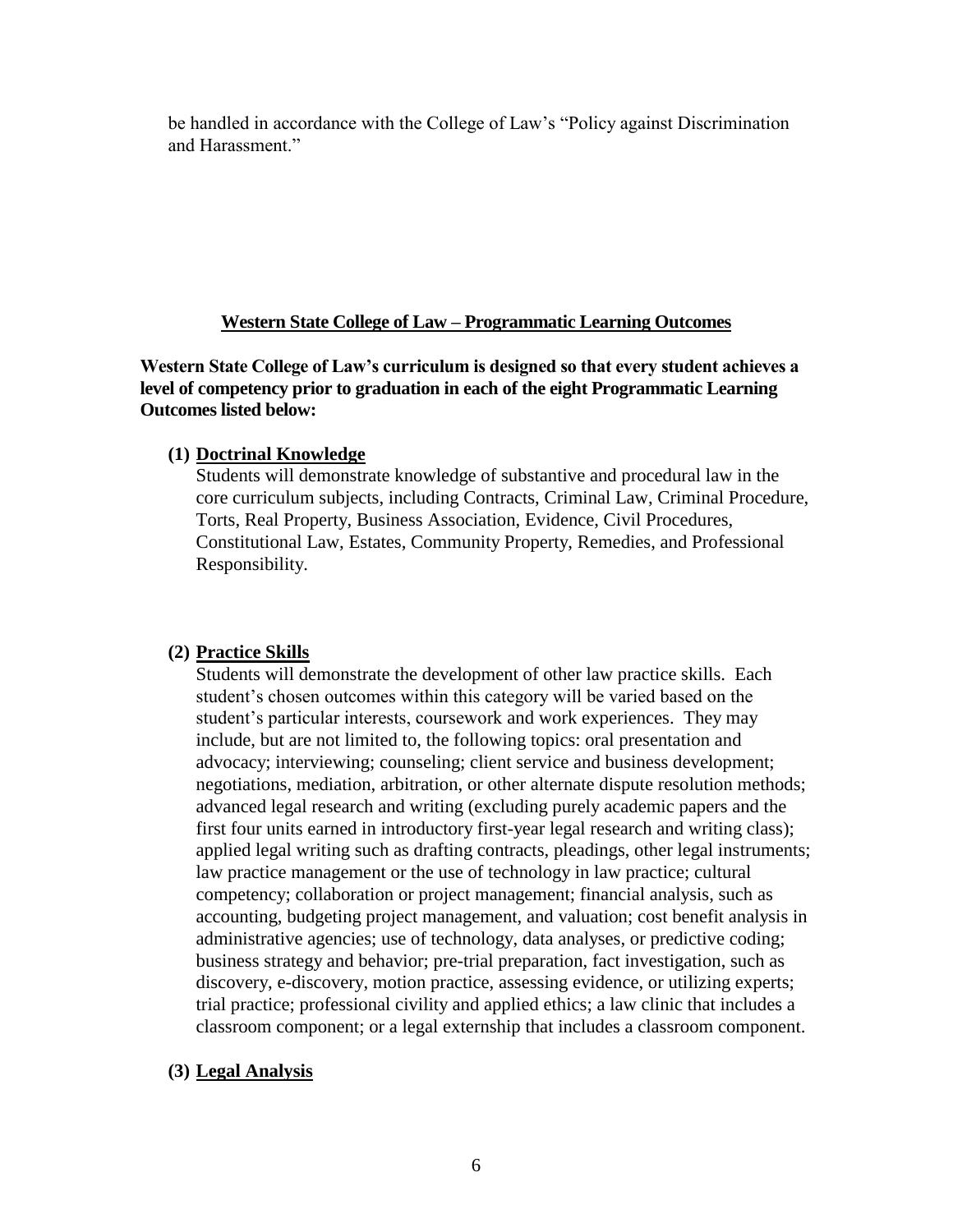be handled in accordance with the College of Law's "Policy against Discrimination and Harassment."

# **Western State College of Law – Programmatic Learning Outcomes**

**Western State College of Law's curriculum is designed so that every student achieves a level of competency prior to graduation in each of the eight Programmatic Learning Outcomes listed below:**

#### **(1) Doctrinal Knowledge**

Students will demonstrate knowledge of substantive and procedural law in the core curriculum subjects, including Contracts, Criminal Law, Criminal Procedure, Torts, Real Property, Business Association, Evidence, Civil Procedures, Constitutional Law, Estates, Community Property, Remedies, and Professional Responsibility.

# **(2) Practice Skills**

Students will demonstrate the development of other law practice skills. Each student's chosen outcomes within this category will be varied based on the student's particular interests, coursework and work experiences. They may include, but are not limited to, the following topics: oral presentation and advocacy; interviewing; counseling; client service and business development; negotiations, mediation, arbitration, or other alternate dispute resolution methods; advanced legal research and writing (excluding purely academic papers and the first four units earned in introductory first-year legal research and writing class); applied legal writing such as drafting contracts, pleadings, other legal instruments; law practice management or the use of technology in law practice; cultural competency; collaboration or project management; financial analysis, such as accounting, budgeting project management, and valuation; cost benefit analysis in administrative agencies; use of technology, data analyses, or predictive coding; business strategy and behavior; pre-trial preparation, fact investigation, such as discovery, e-discovery, motion practice, assessing evidence, or utilizing experts; trial practice; professional civility and applied ethics; a law clinic that includes a classroom component; or a legal externship that includes a classroom component.

# **(3) Legal Analysis**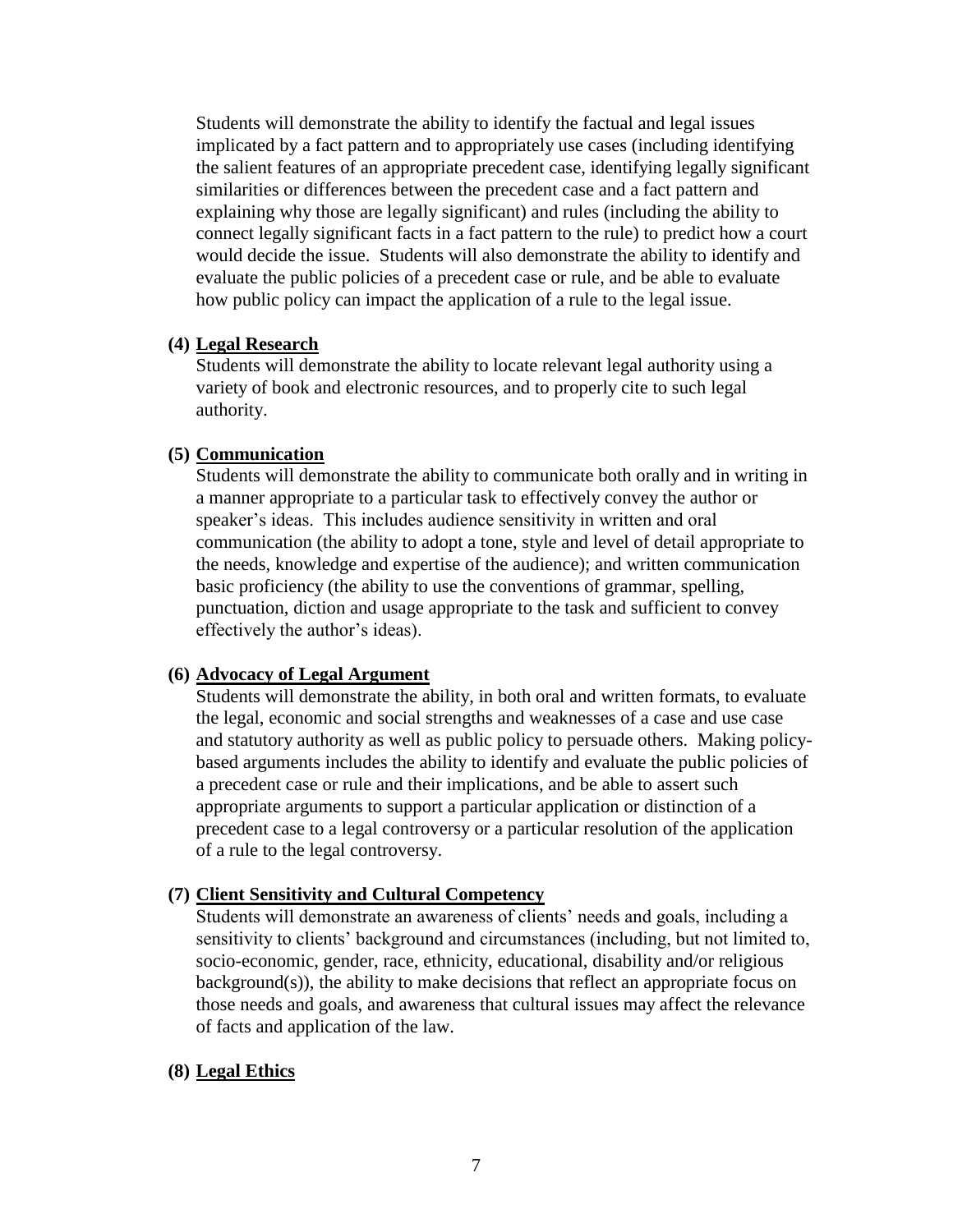Students will demonstrate the ability to identify the factual and legal issues implicated by a fact pattern and to appropriately use cases (including identifying the salient features of an appropriate precedent case, identifying legally significant similarities or differences between the precedent case and a fact pattern and explaining why those are legally significant) and rules (including the ability to connect legally significant facts in a fact pattern to the rule) to predict how a court would decide the issue. Students will also demonstrate the ability to identify and evaluate the public policies of a precedent case or rule, and be able to evaluate how public policy can impact the application of a rule to the legal issue.

#### **(4) Legal Research**

Students will demonstrate the ability to locate relevant legal authority using a variety of book and electronic resources, and to properly cite to such legal authority.

#### **(5) Communication**

Students will demonstrate the ability to communicate both orally and in writing in a manner appropriate to a particular task to effectively convey the author or speaker's ideas. This includes audience sensitivity in written and oral communication (the ability to adopt a tone, style and level of detail appropriate to the needs, knowledge and expertise of the audience); and written communication basic proficiency (the ability to use the conventions of grammar, spelling, punctuation, diction and usage appropriate to the task and sufficient to convey effectively the author's ideas).

#### **(6) Advocacy of Legal Argument**

Students will demonstrate the ability, in both oral and written formats, to evaluate the legal, economic and social strengths and weaknesses of a case and use case and statutory authority as well as public policy to persuade others. Making policybased arguments includes the ability to identify and evaluate the public policies of a precedent case or rule and their implications, and be able to assert such appropriate arguments to support a particular application or distinction of a precedent case to a legal controversy or a particular resolution of the application of a rule to the legal controversy.

#### **(7) Client Sensitivity and Cultural Competency**

Students will demonstrate an awareness of clients' needs and goals, including a sensitivity to clients' background and circumstances (including, but not limited to, socio-economic, gender, race, ethnicity, educational, disability and/or religious background(s)), the ability to make decisions that reflect an appropriate focus on those needs and goals, and awareness that cultural issues may affect the relevance of facts and application of the law.

#### **(8) Legal Ethics**